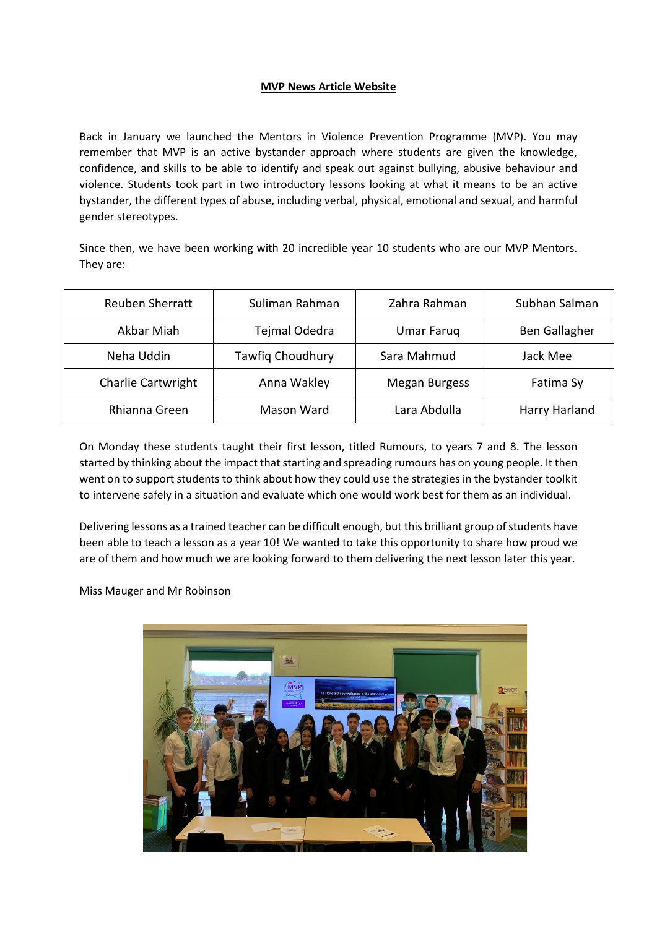## **MVP News Article Website**

Back in January we launched the Mentors in Violence Prevention Programme (MVP). You may remember that MVP is an active bystander approach where students are given the knowledge, confidence, and skills to be able to identify and speak out against bullying, abusive behaviour and violence. Students took part in two introductory lessons looking at what it means to be an active bystander, the different types of abuse, including verbal, physical, emotional and sexual, and harmful gender stereotypes.

Since then, we have been working with 20 incredible year 10 students who are our MVP Mentors. They are:

| <b>Reuben Sherratt</b>    | Suliman Rahman          | Zahra Rahman         | Subhan Salman |
|---------------------------|-------------------------|----------------------|---------------|
| Akbar Miah                | Tejmal Odedra           | <b>Umar Faruq</b>    | Ben Gallagher |
| Neha Uddin                | <b>Tawfig Choudhury</b> | Sara Mahmud          | Jack Mee      |
| <b>Charlie Cartwright</b> | Anna Wakley             | <b>Megan Burgess</b> | Fatima Sy     |
| Rhianna Green             | Mason Ward              | Lara Abdulla         | Harry Harland |

On Monday these students taught their first lesson, titled Rumours, to years 7 and 8. The lesson started by thinking about the impact that starting and spreading rumours has on young people. It then went on to support students to think about how they could use the strategies in the bystander toolkit to intervene safely in a situation and evaluate which one would work best for them as an individual.

Delivering lessons as a trained teacher can be difficult enough, but this brilliant group of students have been able to teach a lesson as a year 10! We wanted to take this opportunity to share how proud we are of them and how much we are looking forward to them delivering the next lesson later this year.

Miss Mauger and Mr Robinson